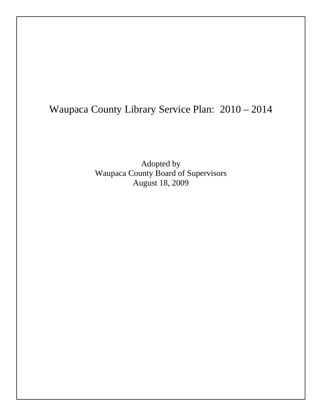# Waupaca County Library Service Plan: 2010 – 2014

Adopted by Waupaca County Board of Supervisors August 18, 2009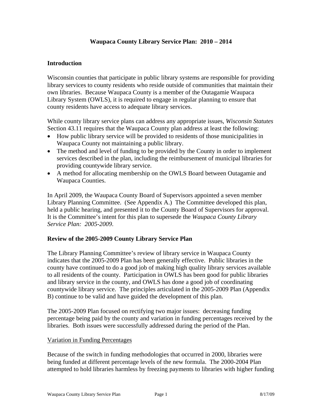# **Waupaca County Library Service Plan: 2010 – 2014**

### **Introduction**

Wisconsin counties that participate in public library systems are responsible for providing library services to county residents who reside outside of communities that maintain their own libraries. Because Waupaca County is a member of the Outagamie Waupaca Library System (OWLS), it is required to engage in regular planning to ensure that county residents have access to adequate library services.

While county library service plans can address any appropriate issues, *Wisconsin Statutes* Section 43.11 requires that the Waupaca County plan address at least the following:

- How public library service will be provided to residents of those municipalities in Waupaca County not maintaining a public library.
- The method and level of funding to be provided by the County in order to implement services described in the plan, including the reimbursement of municipal libraries for providing countywide library service.
- A method for allocating membership on the OWLS Board between Outagamie and Waupaca Counties.

In April 2009, the Waupaca County Board of Supervisors appointed a seven member Library Planning Committee. (See Appendix A.) The Committee developed this plan, held a public hearing, and presented it to the County Board of Supervisors for approval. It is the Committee's intent for this plan to supersede the *Waupaca County Library Service Plan: 2005-2009*.

#### **Review of the 2005-2009 County Library Service Plan**

The Library Planning Committee's review of library service in Waupaca County indicates that the 2005-2009 Plan has been generally effective. Public libraries in the county have continued to do a good job of making high quality library services available to all residents of the county. Participation in OWLS has been good for public libraries and library service in the county, and OWLS has done a good job of coordinating countywide library service. The principles articulated in the 2005-2009 Plan (Appendix B) continue to be valid and have guided the development of this plan.

The 2005-2009 Plan focused on rectifying two major issues: decreasing funding percentage being paid by the county and variation in funding percentages received by the libraries. Both issues were successfully addressed during the period of the Plan.

#### Variation in Funding Percentages

Because of the switch in funding methodologies that occurred in 2000, libraries were being funded at different percentage levels of the new formula. The 2000-2004 Plan attempted to hold libraries harmless by freezing payments to libraries with higher funding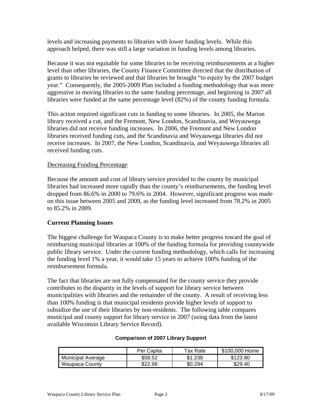levels and increasing payments to libraries with lower funding levels. While this approach helped, there was still a large variation in funding levels among libraries.

Because it was not equitable for some libraries to be receiving reimbursements at a higher level than other libraries, the County Finance Committee directed that the distribution of grants to libraries be reviewed and that libraries be brought "to equity by the 2007 budget year." Consequently, the 2005-2009 Plan included a funding methodology that was more aggressive in moving libraries to the same funding percentage, and beginning in 2007 all libraries were funded at the same percentage level (82%) of the county funding formula.

This action required significant cuts in funding to some libraries. In 2005, the Marion library received a cut, and the Fremont, New London, Scandinavia, and Weyauwega libraries did not receive funding increases. In 2006, the Fremont and New London libraries received funding cuts, and the Scandinavia and Weyauwega libraries did not receive increases. In 2007, the New London, Scandinavia, and Weyauwega libraries all received funding cuts.

#### Decreasing Funding Percentage

Because the amount and cost of library service provided to the county by municipal libraries had increased more rapidly than the county's reimbursements, the funding level dropped from 86.6% in 2000 to 79.6% in 2004. However, significant progress was made on this issue between 2005 and 2009, as the funding level increased from 78.2% in 2005 to 85.2% in 2009.

#### **Current Planning Issues**

The biggest challenge for Waupaca County is to make better progress toward the goal of reimbursing municipal libraries at 100% of the funding formula for providing countywide public library service. Under the current funding methodology, which calls for increasing the funding level 1% a year, it would take 15 years to achieve 100% funding of the reimbursement formula.

The fact that libraries are not fully compensated for the county service they provide contributes to the disparity in the levels of support for library service between municipalities with libraries and the remainder of the county. A result of receiving less than 100% funding is that municipal residents provide higher levels of support to subsidize the use of their libraries by non-residents. The following table compares municipal and county support for library service in 2007 (using data from the latest available Wisconsin Library Service Record).

#### **Comparison of 2007 Library Support**

|                          | Per Capita | Tax Rate | \$100,000 Home |
|--------------------------|------------|----------|----------------|
| <b>Municipal Average</b> | \$58.52    | \$1.238  | \$123.80       |
| <b>Waupaca County</b>    | \$22.96    | \$0.294  | \$29.40        |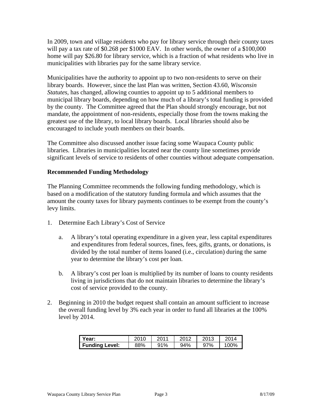In 2009, town and village residents who pay for library service through their county taxes will pay a tax rate of \$0.268 per \$1000 EAV. In other words, the owner of a \$100,000 home will pay \$26.80 for library service, which is a fraction of what residents who live in municipalities with libraries pay for the same library service.

Municipalities have the authority to appoint up to two non-residents to serve on their library boards. However, since the last Plan was written, Section 43.60, *Wisconsin Statutes*, has changed, allowing counties to appoint up to 5 additional members to municipal library boards, depending on how much of a library's total funding is provided by the county. The Committee agreed that the Plan should strongly encourage, but not mandate, the appointment of non-residents, especially those from the towns making the greatest use of the library, to local library boards. Local libraries should also be encouraged to include youth members on their boards.

The Committee also discussed another issue facing some Waupaca County public libraries. Libraries in municipalities located near the county line sometimes provide significant levels of service to residents of other counties without adequate compensation.

### **Recommended Funding Methodology**

The Planning Committee recommends the following funding methodology, which is based on a modification of the statutory funding formula and which assumes that the amount the county taxes for library payments continues to be exempt from the county's levy limits.

- 1. Determine Each Library's Cost of Service
	- a. A library's total operating expenditure in a given year, less capital expenditures and expenditures from federal sources, fines, fees, gifts, grants, or donations, is divided by the total number of items loaned (i.e., circulation) during the same year to determine the library's cost per loan.
	- b. A library's cost per loan is multiplied by its number of loans to county residents living in jurisdictions that do not maintain libraries to determine the library's cost of service provided to the county.
- 2. Beginning in 2010 the budget request shall contain an amount sufficient to increase the overall funding level by 3% each year in order to fund all libraries at the 100% level by 2014.

| Year:                 | 2010 | 2011 | 2012 | 2013<br>1 V | 2014 |
|-----------------------|------|------|------|-------------|------|
| <b>Funding Level:</b> | 88%  | 91%  | 94%  | 97%         | 100% |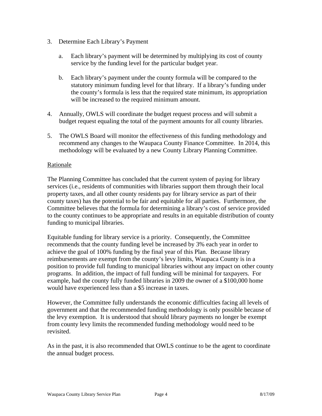- 3. Determine Each Library's Payment
	- a. Each library's payment will be determined by multiplying its cost of county service by the funding level for the particular budget year.
	- b. Each library's payment under the county formula will be compared to the statutory minimum funding level for that library. If a library's funding under the county's formula is less that the required state minimum, its appropriation will be increased to the required minimum amount.
- 4. Annually, OWLS will coordinate the budget request process and will submit a budget request equaling the total of the payment amounts for all county libraries.
- 5. The OWLS Board will monitor the effectiveness of this funding methodology and recommend any changes to the Waupaca County Finance Committee. In 2014, this methodology will be evaluated by a new County Library Planning Committee.

### Rationale

The Planning Committee has concluded that the current system of paying for library services (i.e., residents of communities with libraries support them through their local property taxes, and all other county residents pay for library service as part of their county taxes) has the potential to be fair and equitable for all parties. Furthermore, the Committee believes that the formula for determining a library's cost of service provided to the county continues to be appropriate and results in an equitable distribution of county funding to municipal libraries.

Equitable funding for library service is a priority. Consequently, the Committee recommends that the county funding level be increased by 3% each year in order to achieve the goal of 100% funding by the final year of this Plan. Because library reimbursements are exempt from the county's levy limits, Waupaca County is in a position to provide full funding to municipal libraries without any impact on other county programs. In addition, the impact of full funding will be minimal for taxpayers. For example, had the county fully funded libraries in 2009 the owner of a \$100,000 home would have experienced less than a \$5 increase in taxes.

However, the Committee fully understands the economic difficulties facing all levels of government and that the recommended funding methodology is only possible because of the levy exemption. It is understood that should library payments no longer be exempt from county levy limits the recommended funding methodology would need to be revisited.

As in the past, it is also recommended that OWLS continue to be the agent to coordinate the annual budget process.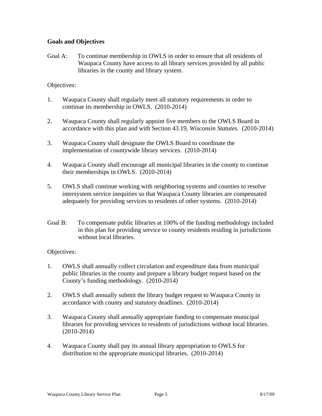# **Goals and Objectives**

Goal A: To continue membership in OWLS in order to ensure that all residents of Waupaca County have access to all library services provided by all public libraries in the county and library system.

## Objectives:

- 1. Waupaca County shall regularly meet all statutory requirements in order to continue its membership in OWLS. (2010-2014)
- 2. Waupaca County shall regularly appoint five members to the OWLS Board in accordance with this plan and with Section 43.19, *Wisconsin Statutes.* (2010-2014)
- 3. Waupaca County shall designate the OWLS Board to coordinate the implementation of countywide library services. (2010-2014)
- 4. Waupaca County shall encourage all municipal libraries in the county to continue their memberships in OWLS. (2010-2014)
- 5. OWLS shall continue working with neighboring systems and counties to resolve intersystem service inequities so that Waupaca County libraries are compensated adequately for providing services to residents of other systems. (2010-2014)
- Goal B: To compensate public libraries at 100% of the funding methodology included in this plan for providing service to county residents residing in jurisdictions without local libraries.

# Objectives:

- 1. OWLS shall annually collect circulation and expenditure data from municipal public libraries in the county and prepare a library budget request based on the County's funding methodology. (2010-2014)
- 2. OWLS shall annually submit the library budget request to Waupaca County in accordance with county and statutory deadlines. (2010-2014)
- 3. Waupaca County shall annually appropriate funding to compensate municipal libraries for providing services to residents of jurisdictions without local libraries. (2010-2014)
- 4. Waupaca County shall pay its annual library appropriation to OWLS for distribution to the appropriate municipal libraries. (2010-2014)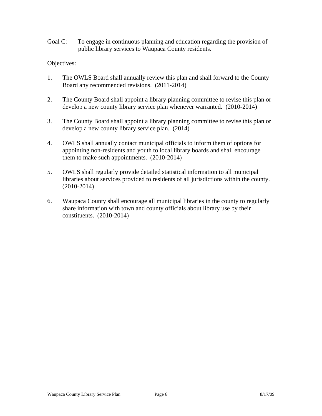Goal C: To engage in continuous planning and education regarding the provision of public library services to Waupaca County residents.

### Objectives:

- 1. The OWLS Board shall annually review this plan and shall forward to the County Board any recommended revisions. (2011-2014)
- 2. The County Board shall appoint a library planning committee to revise this plan or develop a new county library service plan whenever warranted. (2010-2014)
- 3. The County Board shall appoint a library planning committee to revise this plan or develop a new county library service plan. (2014)
- 4. OWLS shall annually contact municipal officials to inform them of options for appointing non-residents and youth to local library boards and shall encourage them to make such appointments. (2010-2014)
- 5. OWLS shall regularly provide detailed statistical information to all municipal libraries about services provided to residents of all jurisdictions within the county. (2010-2014)
- 6. Waupaca County shall encourage all municipal libraries in the county to regularly share information with town and county officials about library use by their constituents. (2010-2014)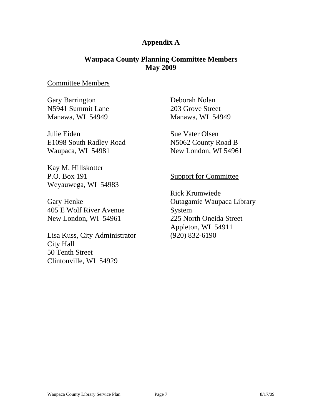# **Appendix A**

# **Waupaca County Planning Committee Members May 2009**

# Committee Members

Gary Barrington N5941 Summit Lane Manawa, WI 54949

Julie Eiden E1098 South Radley Road Waupaca, WI 54981

Kay M. Hillskotter P.O. Box 191 Weyauwega, WI 54983

Gary Henke 405 E Wolf River Avenue New London, WI 54961

Lisa Kuss, City Administrator City Hall 50 Tenth Street Clintonville, WI 54929

Deborah Nolan 203 Grove Street Manawa, WI 54949

Sue Vater Olsen N5062 County Road B New London, WI 54961

# Support for Committee

Rick Krumwiede Outagamie Waupaca Library System 225 North Oneida Street Appleton, WI 54911 (920) 832-6190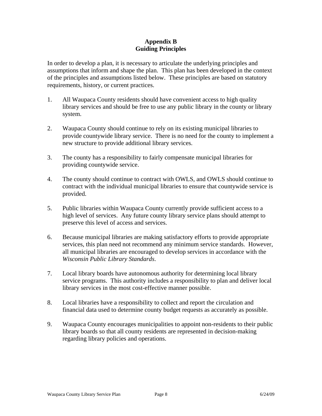## **Appendix B Guiding Principles**

In order to develop a plan, it is necessary to articulate the underlying principles and assumptions that inform and shape the plan. This plan has been developed in the context of the principles and assumptions listed below. These principles are based on statutory requirements, history, or current practices.

- 1. All Waupaca County residents should have convenient access to high quality library services and should be free to use any public library in the county or library system.
- 2. Waupaca County should continue to rely on its existing municipal libraries to provide countywide library service. There is no need for the county to implement a new structure to provide additional library services.
- 3. The county has a responsibility to fairly compensate municipal libraries for providing countywide service.
- 4. The county should continue to contract with OWLS, and OWLS should continue to contract with the individual municipal libraries to ensure that countywide service is provided.
- 5. Public libraries within Waupaca County currently provide sufficient access to a high level of services. Any future county library service plans should attempt to preserve this level of access and services.
- 6. Because municipal libraries are making satisfactory efforts to provide appropriate services, this plan need not recommend any minimum service standards. However, all municipal libraries are encouraged to develop services in accordance with the *Wisconsin Public Library Standards*.
- 7. Local library boards have autonomous authority for determining local library service programs. This authority includes a responsibility to plan and deliver local library services in the most cost-effective manner possible.
- 8. Local libraries have a responsibility to collect and report the circulation and financial data used to determine county budget requests as accurately as possible.
- 9. Waupaca County encourages municipalities to appoint non-residents to their public library boards so that all county residents are represented in decision-making regarding library policies and operations.